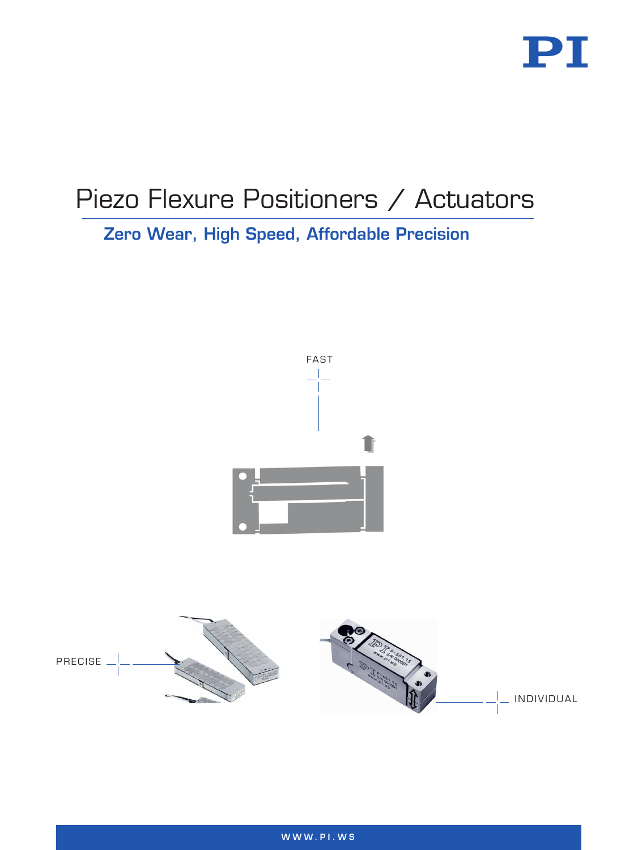

# Piezo Flexure Positioners / Actuators

Zero Wear, High Speed, Affordable Precision



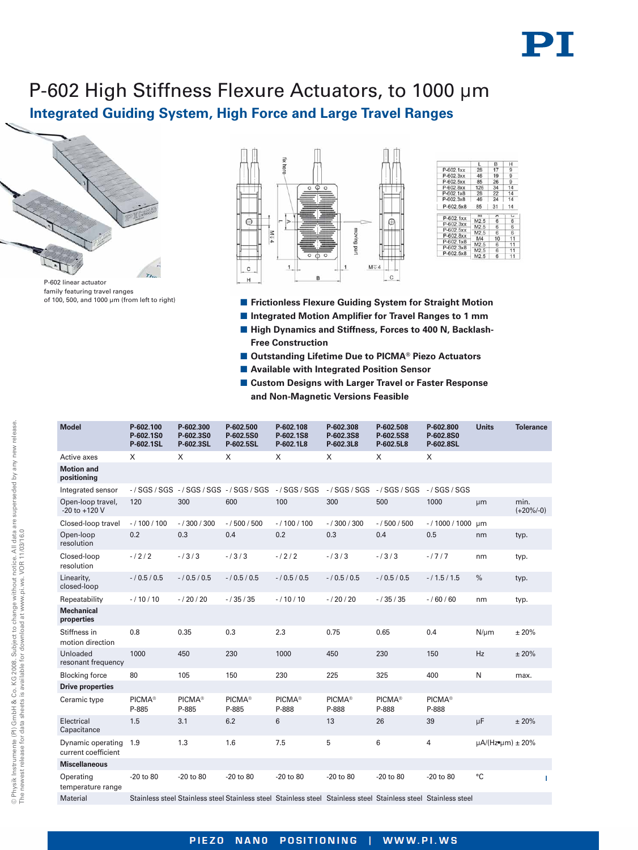# PI

## **Integrated Guiding System, High Force and Large Travel Ranges** P-602 High Stiffness Flexure Actuators, to 1000 µm



P-602 linear actuator family featuring travel ranges of 100, 500, and 1000 µm (from left to right)



|             | L                | в              | н              |
|-------------|------------------|----------------|----------------|
| $P-602.1xx$ | 28               | 17             | 9              |
| P-602.3xx   | 46               | 19             | 9              |
| P-602.5xx   | 85               | 26             | 9              |
| P-602.8xx   | 126              | 34             | 14             |
| $P-602.1x8$ | 28               | 22             | 14             |
| P-602.3x8   | 46               | 24             | 14             |
| P-602.5x8   | 85.              | 31             | 14             |
| P-602.1xx   | M                | $\overline{A}$ | $\overline{u}$ |
| P-602.3xx   | M2.5             | 6              | 6              |
|             | M2.5             | 6              | 6              |
| P-602.5xx   | M2.5             | 6              | 6.             |
| P-602.8xx   | M4               | 10             | 11             |
| P-602.1x8   | M2.5             | б              | 11             |
| P-602.3x8   | M <sub>2.5</sub> | 6              | 11             |
| P-602.5x8   | M2.5             | 6              | 11             |
|             |                  |                |                |

- **E** Frictionless Flexure Guiding System for Straight Motion
- $\blacksquare$  Integrated Motion Amplifier for Travel Ranges to 1 mm
- High Dynamics and Stiffness, Forces to 400 N, Backlash-**Free Construction**
- Outstanding Lifetime Due to PICMA<sup>®</sup> Piezo Actuators
- $\blacksquare$  **Available with Integrated Position Sensor**
- Custom Designs with Larger Travel or Faster Response **and Non-Magnetic Versions Feasible**

| <b>Model</b>                             | P-602.100<br>P-602.1S0<br>P-602.1SL | P-602.300<br>P-602.3S0<br>P-602.3SL | P-602.500<br>P-602.5S0<br>P-602.5SL | P-602.108<br>P-602.1S8<br>P-602.1L8                                                                             | P-602.308<br>P-602.3S8<br>P-602.3L8 | P-602.508<br>P-602.5S8<br>P-602.5L8 | P-602.800<br>P-602.8S0<br>P-602.8SL | <b>Units</b>                    | <b>Tolerance</b>    |    |
|------------------------------------------|-------------------------------------|-------------------------------------|-------------------------------------|-----------------------------------------------------------------------------------------------------------------|-------------------------------------|-------------------------------------|-------------------------------------|---------------------------------|---------------------|----|
| Active axes                              | X                                   | X                                   | X                                   | X                                                                                                               | $\times$                            | X                                   | X                                   |                                 |                     |    |
| <b>Motion and</b><br>positioning         |                                     |                                     |                                     |                                                                                                                 |                                     |                                     |                                     |                                 |                     |    |
| Integrated sensor                        |                                     | -/SGS/SGS -/SGS/SGS -/SGS/SGS       |                                     | $-$ /SGS/SGS                                                                                                    | $-$ / SGS / SGS                     | $-$ / SGS / SGS                     | $-$ / SGS / SGS                     |                                 |                     |    |
| Open-loop travel,<br>-20 to +120 V       | 120                                 | 300                                 | 600                                 | 100                                                                                                             | 300                                 | 500                                 | 1000                                | μm                              | min.<br>$(+20\%/0)$ |    |
| Closed-loop travel                       | $-/100/100$                         | $-1300/300$                         | $-/500/500$                         | $-/100/100$                                                                                                     | $-1300/300$                         | $-/500/500$                         | $-/1000/1000$                       | µm                              |                     |    |
| Open-loop<br>resolution                  | 0.2                                 | 0.3                                 | 0.4                                 | 0.2                                                                                                             | 0.3                                 | 0.4                                 | 0.5                                 | nm                              | typ.                |    |
| Closed-loop<br>resolution                | $-12/2$                             | $-13/3$                             | $-13/3$                             | $-12/2$                                                                                                         | $-13/3$                             | $-13/3$                             | $-1717$                             | nm                              | typ.                |    |
| Linearity,<br>closed-loop                | $-/0.5/0.5$                         | $-/0.5/0.5$                         | $-/0.5/0.5$                         | $-/0.5/0.5$                                                                                                     | $-/0.5/0.5$                         | $-/0.5/0.5$                         | $-/1.5/1.5$                         | $\%$                            | typ.                |    |
| Repeatability                            | $-/10/10$                           | $-/20/20$                           | $-/35/35$                           | $-/10/10$                                                                                                       | $-/20/20$                           | $-/35/35$                           | $-/60/60$                           | nm                              | typ.                |    |
| <b>Mechanical</b><br>properties          |                                     |                                     |                                     |                                                                                                                 |                                     |                                     |                                     |                                 |                     |    |
| Stiffness in<br>motion direction         | 0.8                                 | 0.35                                | 0.3                                 | 2.3                                                                                                             | 0.75                                | 0.65                                | 0.4                                 | $N/\mu m$                       | ±20%                |    |
| Unloaded<br>resonant frequency           | 1000                                | 450                                 | 230                                 | 1000                                                                                                            | 450                                 | 230                                 | 150                                 | Hz                              | ± 20%               |    |
| <b>Blocking force</b>                    | 80                                  | 105                                 | 150                                 | 230                                                                                                             | 225                                 | 325                                 | 400                                 | N                               | max.                |    |
| <b>Drive properties</b>                  |                                     |                                     |                                     |                                                                                                                 |                                     |                                     |                                     |                                 |                     |    |
| Ceramic type                             | PICMA <sup>®</sup><br>P-885         | <b>PICMA®</b><br>P-885              | PICMA <sup>®</sup><br>P-885         | PICMA <sup>®</sup><br>P-888                                                                                     | <b>PICMA®</b><br>P-888              | PICMA <sup>®</sup><br>P-888         | PICMA <sup>®</sup><br>P-888         |                                 |                     |    |
| Electrical<br>Capacitance                | 1.5                                 | 3.1                                 | 6.2                                 | 6                                                                                                               | 13                                  | 26                                  | 39                                  | μF                              | ±20%                |    |
| Dynamic operating<br>current coefficient | 1.9                                 | 1.3                                 | 1.6                                 | 7.5                                                                                                             | 5                                   | 6                                   | $\overline{4}$                      | $\mu$ A/(Hz $\bullet$ um) ± 20% |                     |    |
| <b>Miscellaneous</b>                     |                                     |                                     |                                     |                                                                                                                 |                                     |                                     |                                     |                                 |                     |    |
| Operating<br>temperature range           | -20 to 80                           | -20 to 80                           | -20 to 80                           | -20 to 80                                                                                                       | -20 to 80                           | -20 to 80                           | -20 to 80                           | °C                              |                     | -1 |
| <b>Material</b>                          |                                     |                                     |                                     | Stainless steel Stainless steel Stainless steel Stainless steel Stainless steel Stainless steel Stainless steel |                                     |                                     |                                     |                                 |                     |    |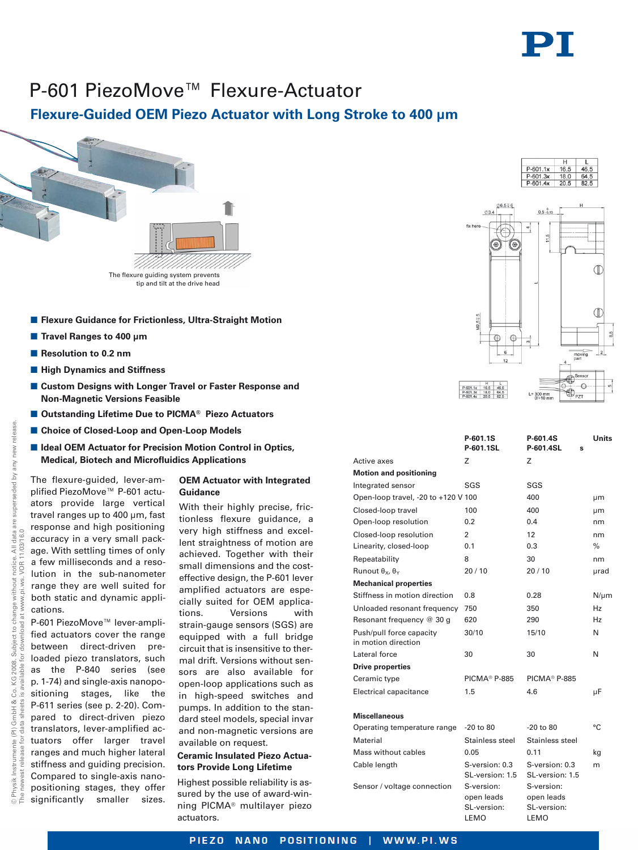

## P-601 PiezoMove™ Flexure-Actuator

### **Flexure-Guided OEM Piezo Actuator with Long Stroke to 400 µm**



- **E** Flexure Guidance for Frictionless, Ultra-Straight Motion
- Travel Ranges to 400 µm
- **Resolution to 0.2 nm**
- $\blacksquare$  **High Dynamics and Stiffness**
- - **Custom Designs with Longer Travel or Faster Response and Non-Magnetic Versions Feasible**
- Outstanding Lifetime Due to PICMA<sup>®</sup> Piezo Actuators
- Choice of Closed-Loop and Open-Loop Models
- **E Ideal OEM Actuator for Precision Motion Control in Optics, Medical, Biotech and Microfluidics Applications**

The flexure-guided, lever-amplified PiezoMove™ P-601 actuators provide large vertical travel ranges up to 400 µm, fast response and high positioning accuracy in a very small package. With settling times of only a few milliseconds and a resolution in the sub-nanometer range they are well suited for both static and dynamic applications.

P-601 PiezoMove™ lever-amplified actuators cover the range between direct-driven preloaded piezo translators, such as the P-840 series (see p. 1-74) and single-axis nanopositioning stages, like the P-611 series (see p. 2-20). Compared to direct-driven piezo translators, lever-amplified actuators offer larger travel ranges and much higher lateral stiffness and guiding precision. Compared to single-axis nanopositioning stages, they offer significantly smaller sizes.

#### **OEM Actuator with Integrated Guidance**

With their highly precise, frictionless flexure guidance, a very high stiffness and excellent straightness of motion are achieved. Together with their small dimensions and the costeffective design, the P-601 lever amplified actuators are especially suited for OEM applications. Versions with strain-gauge sensors (SGS) are equipped with a full bridge circuit that is insensitive to thermal drift. Versions without sensors are also available for open-loop applications such as in high-speed switches and pumps. In addition to the standard steel models, special invar and non-magnetic versions are available on request.

#### **Ceramic Insulated Piezo Actuators Provide Long Lifetime**

Highest possible reliability is assured by the use of award-winning PICMA® multilayer piezo actuators.



|                                                 | P-601.1S<br>P-601.1SL                           | P-601.4S<br>P-601.4SL<br>S                      | Units     |
|-------------------------------------------------|-------------------------------------------------|-------------------------------------------------|-----------|
| Active axes                                     | Z                                               | Ζ                                               |           |
| <b>Motion and positioning</b>                   |                                                 |                                                 |           |
| Integrated sensor                               | SGS                                             | SGS                                             |           |
| Open-loop travel, -20 to +120 V 100             |                                                 | 400                                             | μm        |
| Closed-loop travel                              | 100                                             | 400                                             | μm        |
| Open-loop resolution                            | 0.2                                             | 0.4                                             | nm        |
| Closed-loop resolution                          | 2                                               | 12                                              | nm        |
| Linearity, closed-loop                          | 0.1                                             | 0.3                                             | %         |
| Repeatability                                   | 8                                               | 30                                              | nm        |
| Runout $θ_x$ , $θ_y$                            | 20/10                                           | 20/10                                           | µrad      |
| <b>Mechanical properties</b>                    |                                                 |                                                 |           |
| Stiffness in motion direction                   | 0.8                                             | 0.28                                            | $N/\mu m$ |
| Unloaded resonant frequency                     | 750                                             | 350                                             | Hz        |
| Resonant frequency @ 30 g                       | 620                                             | 290                                             | Hz        |
| Push/pull force capacity<br>in motion direction | 30/10                                           | 15/10                                           | N         |
| Lateral force                                   | 30                                              | 30                                              | N         |
| <b>Drive properties</b>                         |                                                 |                                                 |           |
| Ceramic type                                    | PICMA <sup>®</sup> P-885                        | <b>PICMA® P-885</b>                             |           |
| <b>Electrical capacitance</b>                   | 1.5                                             | 4.6                                             | μF        |
| <b>Miscellaneous</b>                            |                                                 |                                                 |           |
| Operating temperature range                     | $-20$ to 80                                     | $-20$ to 80                                     | °C        |
| Material                                        | Stainless steel                                 | Stainless steel                                 |           |
| Mass without cables                             | 0.05                                            | 0.11                                            | kg        |
| Cable length                                    | S-version: 0.3<br>SL-version: 1.5               | S-version: 0.3<br>SL-version: 1.5               | m         |
| Sensor / voltage connection                     | S-version:<br>open leads<br>SL-version:<br>LEMO | S-version:<br>open leads<br>SL-version:<br>LEMO |           |
|                                                 |                                                 |                                                 |           |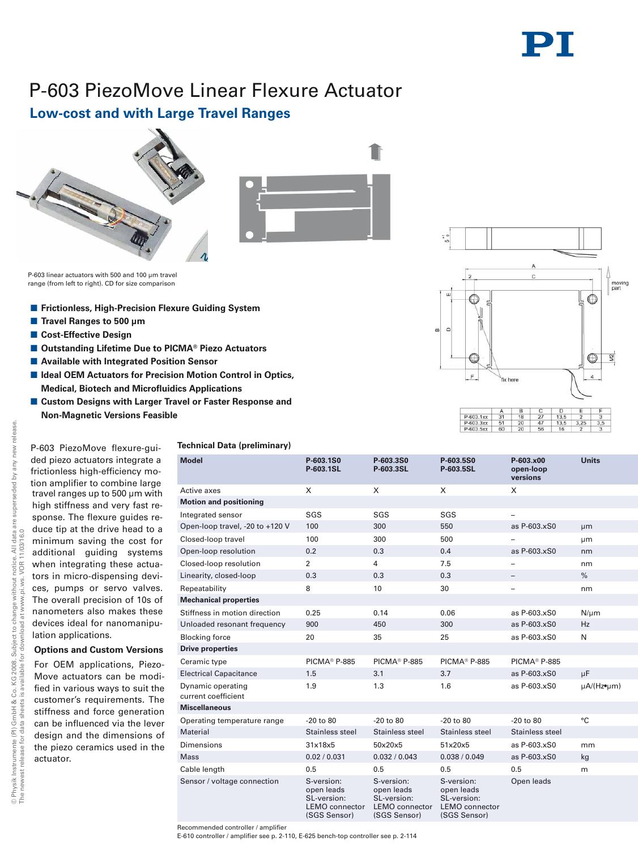## P-603 PiezoMove Linear Flexure Actuator

### **Low-cost and with Large Travel Ranges**





P-603 linear actuators with 500 and 100 um travel range (from left to right). CD for size comparison

- **E** Frictionless, High-Precision Flexure Guiding System
- Travel Ranges to 500 µm
- **E** Cost-Effective Design
- Outstanding Lifetime Due to PICMA<sup>®</sup> Piezo Actuators
- **E** Available with Integrated Position Sensor
- **E Ideal OEM Actuators for Precision Motion Control in Optics, Medical, Biotech and Microfluidics Applications**
- **E** Custom Designs with Larger Travel or Faster Response and **Non-Magnetic Versions Feasible**

#### P-603 PiezoMove flexure-guided piezo actuators integrate a frictionless high-efficiency motion amplifier to combine large travel ranges up to 500 µm with high stiffness and very fast response. The flexure guides reduce tip at the drive head to a minimum saving the cost for additional guiding systems when integrating these actuators in micro-dispensing devices, pumps or servo valves. The overall precision of 10s of nanometers also makes these devices ideal for nanomanipulation applications.

### **Options and Custom Versions**

For OEM applications, Piezo-Move actuators can be modified in various ways to suit the customer's requirements. The stiffness and force generation can be influenced via the lever design and the dimensions of the piezo ceramics used in the actuator.

#### **Technical Data (preliminary)**

| <b>Model</b>                             | P-603.1S0<br>P-603.1SL                                                           | P-603.3S0<br>P-603.3SL                                                           | P-603.5S0<br>P-603.5SL                                                           | P-603.x00<br>open-loop<br>versions | <b>Units</b>             |
|------------------------------------------|----------------------------------------------------------------------------------|----------------------------------------------------------------------------------|----------------------------------------------------------------------------------|------------------------------------|--------------------------|
| Active axes                              | X                                                                                | X                                                                                | X                                                                                | X                                  |                          |
| <b>Motion and positioning</b>            |                                                                                  |                                                                                  |                                                                                  |                                    |                          |
| Integrated sensor                        | SGS                                                                              | SGS                                                                              | SGS                                                                              |                                    |                          |
| Open-loop travel, -20 to +120 V          | 100                                                                              | 300                                                                              | 550                                                                              | as P-603.xS0                       | μm                       |
| Closed-loop travel                       | 100                                                                              | 300                                                                              | 500                                                                              |                                    | μm                       |
| Open-loop resolution                     | 0.2                                                                              | 0.3                                                                              | 0.4                                                                              | as P-603.xS0                       | nm                       |
| Closed-loop resolution                   | 2                                                                                | $\overline{4}$                                                                   | 7.5                                                                              |                                    | nm                       |
| Linearity, closed-loop                   | 0.3                                                                              | 0.3                                                                              | 0.3                                                                              |                                    | $\%$                     |
| Repeatability                            | 8                                                                                | 10                                                                               | 30                                                                               | -                                  | nm                       |
| <b>Mechanical properties</b>             |                                                                                  |                                                                                  |                                                                                  |                                    |                          |
| Stiffness in motion direction            | 0.25                                                                             | 0.14                                                                             | 0.06                                                                             | as P-603.xS0                       | $N/\mu m$                |
| Unloaded resonant frequency              | 900                                                                              | 450                                                                              | 300                                                                              | as P-603.xS0                       | Hz                       |
| <b>Blocking force</b>                    | 20                                                                               | 35                                                                               | 25                                                                               | as P-603.xS0                       | N                        |
| <b>Drive properties</b>                  |                                                                                  |                                                                                  |                                                                                  |                                    |                          |
| Ceramic type                             | PICMA <sup>®</sup> P-885                                                         | PICMA <sup>®</sup> P-885                                                         | PICMA <sup>®</sup> P-885                                                         | PICMA <sup>®</sup> P-885           |                          |
| <b>Electrical Capacitance</b>            | 1.5                                                                              | 3.1                                                                              | 3.7                                                                              | as P-603.xS0                       | μF                       |
| Dynamic operating<br>current coefficient | 1.9                                                                              | 1.3                                                                              | 1.6                                                                              | as P-603.xS0                       | $\mu A/(Hz \cdot \mu m)$ |
| <b>Miscellaneous</b>                     |                                                                                  |                                                                                  |                                                                                  |                                    |                          |
| Operating temperature range              | $-20$ to $80$                                                                    | $-20$ to $80$                                                                    | $-20$ to $80$                                                                    | $-20$ to $80$                      | °C                       |
| Material                                 | Stainless steel                                                                  | Stainless steel                                                                  | Stainless steel                                                                  | Stainless steel                    |                          |
| <b>Dimensions</b>                        | 31x18x5                                                                          | 50x20x5                                                                          | 51x20x5                                                                          | as P-603.xS0                       | mm                       |
| <b>Mass</b>                              | 0.02 / 0.031                                                                     | 0.032 / 0.043                                                                    | 0.038 / 0.049                                                                    | as P-603.xS0                       | kg                       |
| Cable length                             | 0.5                                                                              | 0.5                                                                              | 0.5                                                                              | 0.5                                | m                        |
| Sensor / voltage connection              | S-version:<br>open leads<br>SL-version:<br><b>LEMO</b> connector<br>(SGS Sensor) | S-version:<br>open leads<br>SL-version:<br><b>LEMO</b> connector<br>(SGS Sensor) | S-version:<br>open leads<br>SL-version:<br><b>LEMO</b> connector<br>(SGS Sensor) | Open leads                         |                          |

Recommended controller / amplifier

E-610 controller / amplifier see p. 2-110, E-625 bench-top controller see p. 2-114

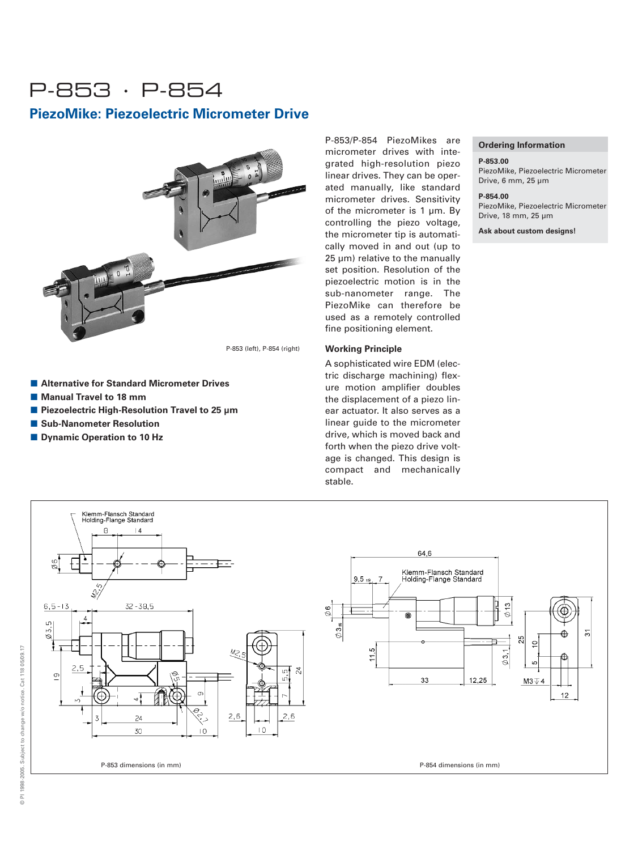## P-853 · P-854

### **PiezoMike: Piezoelectric Micrometer Drive**



P-853 (left), P-854 (right)

- Alternative for Standard Micrometer Drives
- **Manual Travel to 18 mm**
- Piezoelectric High-Resolution Travel to 25 µm
- **E** Sub-Nanometer Resolution
- **E** Dynamic Operation to 10 Hz

P-853/P-854 PiezoMikes are micrometer drives with integrated high-resolution piezo linear drives. They can be operated manually, like standard micrometer drives. Sensitivity of the micrometer is 1 µm. By controlling the piezo voltage, the micrometer tip is automatically moved in and out (up to 25 µm) relative to the manually set position. Resolution of the piezoelectric motion is in the sub-nanometer range. The PiezoMike can therefore be used as a remotely controlled fine positioning element.

#### **Working Principle**

A sophisticated wire EDM (electric discharge machining) flexure motion amplifier doubles the displacement of a piezo linear actuator. It also serves as a linear guide to the micrometer drive, which is moved back and forth when the piezo drive voltage is changed. This design is compact and mechanically stable.

#### **Ordering Information**

#### **P-853.00**

PiezoMike, Piezoelectric Micrometer Drive, 6 mm, 25 µm

#### **P-854.00**

PiezoMike, Piezoelectric Micrometer Drive, 18 mm, 25 µm

**Ask about custom designs!**